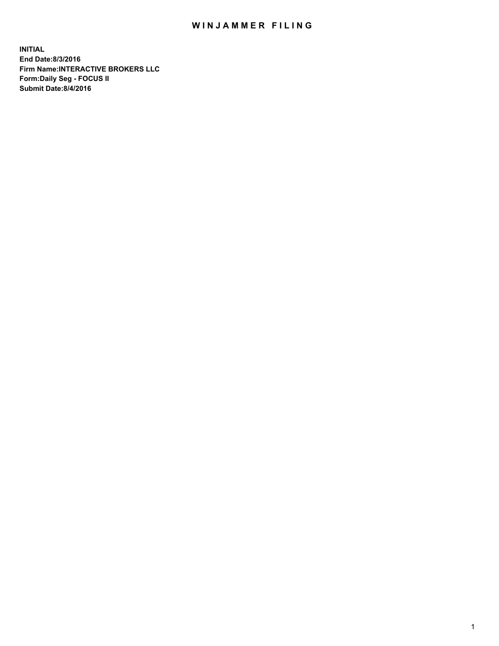## WIN JAMMER FILING

**INITIAL End Date:8/3/2016 Firm Name:INTERACTIVE BROKERS LLC Form:Daily Seg - FOCUS II Submit Date:8/4/2016**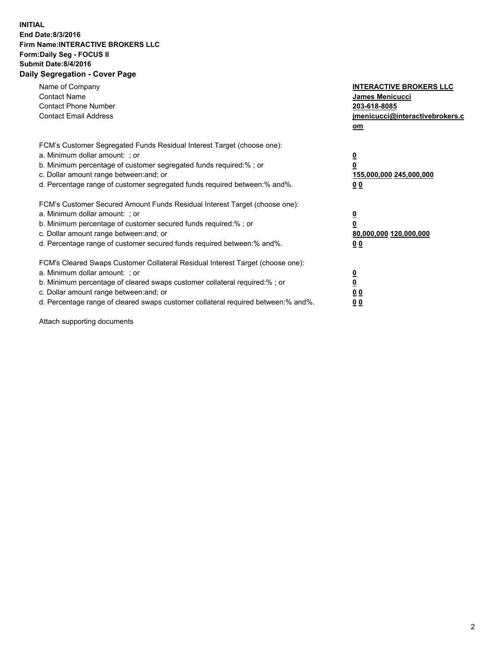## **INITIAL End Date:8/3/2016 Firm Name:INTERACTIVE BROKERS LLC Form:Daily Seg - FOCUS II Submit Date:8/4/2016 Daily Segregation - Cover Page**

| Name of Company<br><b>Contact Name</b><br><b>Contact Phone Number</b><br><b>Contact Email Address</b>                                                                                                                                                                                                                          | <b>INTERACTIVE BROKERS LLC</b><br>James Menicucci<br>203-618-8085<br>jmenicucci@interactivebrokers.c<br>om |
|--------------------------------------------------------------------------------------------------------------------------------------------------------------------------------------------------------------------------------------------------------------------------------------------------------------------------------|------------------------------------------------------------------------------------------------------------|
| FCM's Customer Segregated Funds Residual Interest Target (choose one):<br>a. Minimum dollar amount: ; or<br>b. Minimum percentage of customer segregated funds required:%; or<br>c. Dollar amount range between: and; or<br>d. Percentage range of customer segregated funds required between:% and%.                          | $\overline{\mathbf{0}}$<br>$\overline{\mathbf{0}}$<br>155,000,000 245,000,000<br>0 <sub>0</sub>            |
| FCM's Customer Secured Amount Funds Residual Interest Target (choose one):<br>a. Minimum dollar amount: ; or<br>b. Minimum percentage of customer secured funds required:%; or<br>c. Dollar amount range between: and; or<br>d. Percentage range of customer secured funds required between: % and %.                          | $\overline{\mathbf{0}}$<br>$\overline{\mathbf{0}}$<br>80,000,000 120,000,000<br>0 <sub>0</sub>             |
| FCM's Cleared Swaps Customer Collateral Residual Interest Target (choose one):<br>a. Minimum dollar amount: ; or<br>b. Minimum percentage of cleared swaps customer collateral required:% ; or<br>c. Dollar amount range between: and; or<br>d. Percentage range of cleared swaps customer collateral required between:% and%. | $\overline{\mathbf{0}}$<br>$\underline{\mathbf{0}}$<br>0 <sub>0</sub><br>0 <sup>0</sup>                    |

Attach supporting documents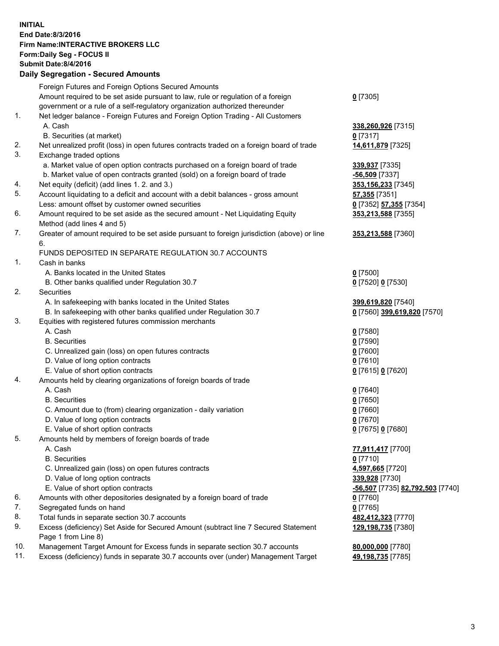## **INITIAL End Date:8/3/2016 Firm Name:INTERACTIVE BROKERS LLC Form:Daily Seg - FOCUS II Submit Date:8/4/2016 Daily Segregation - Secured Amounts**

|     | Foreign Futures and Foreign Options Secured Amounts                                         |                                  |
|-----|---------------------------------------------------------------------------------------------|----------------------------------|
|     | Amount required to be set aside pursuant to law, rule or regulation of a foreign            | $0$ [7305]                       |
|     | government or a rule of a self-regulatory organization authorized thereunder                |                                  |
| 1.  | Net ledger balance - Foreign Futures and Foreign Option Trading - All Customers             |                                  |
|     | A. Cash                                                                                     | 338,260,926 [7315]               |
|     | B. Securities (at market)                                                                   | $0$ [7317]                       |
| 2.  | Net unrealized profit (loss) in open futures contracts traded on a foreign board of trade   | 14,611,879 [7325]                |
| 3.  | Exchange traded options                                                                     |                                  |
|     | a. Market value of open option contracts purchased on a foreign board of trade              | 339,937 [7335]                   |
|     | b. Market value of open contracts granted (sold) on a foreign board of trade                | $-56,509$ [7337]                 |
| 4.  | Net equity (deficit) (add lines 1.2. and 3.)                                                | 353,156,233 [7345]               |
| 5.  | Account liquidating to a deficit and account with a debit balances - gross amount           | 57,355 [7351]                    |
|     | Less: amount offset by customer owned securities                                            | 0 [7352] 57,355 [7354]           |
| 6.  | Amount required to be set aside as the secured amount - Net Liquidating Equity              | 353,213,588 [7355]               |
|     | Method (add lines 4 and 5)                                                                  |                                  |
| 7.  | Greater of amount required to be set aside pursuant to foreign jurisdiction (above) or line | 353,213,588 [7360]               |
|     | 6.                                                                                          |                                  |
|     | FUNDS DEPOSITED IN SEPARATE REGULATION 30.7 ACCOUNTS                                        |                                  |
| 1.  | Cash in banks                                                                               |                                  |
|     | A. Banks located in the United States                                                       | $0$ [7500]                       |
|     | B. Other banks qualified under Regulation 30.7                                              | 0 [7520] 0 [7530]                |
| 2.  | Securities                                                                                  |                                  |
|     | A. In safekeeping with banks located in the United States                                   | 399,619,820 [7540]               |
|     | B. In safekeeping with other banks qualified under Regulation 30.7                          | 0 [7560] 399,619,820 [7570]      |
| 3.  | Equities with registered futures commission merchants                                       |                                  |
|     | A. Cash                                                                                     | $0$ [7580]                       |
|     | <b>B.</b> Securities                                                                        | $0$ [7590]                       |
|     | C. Unrealized gain (loss) on open futures contracts                                         | $0$ [7600]                       |
|     | D. Value of long option contracts                                                           | $0$ [7610]                       |
|     | E. Value of short option contracts                                                          | 0 [7615] 0 [7620]                |
| 4.  | Amounts held by clearing organizations of foreign boards of trade                           |                                  |
|     | A. Cash                                                                                     | $0$ [7640]                       |
|     | <b>B.</b> Securities                                                                        | $0$ [7650]                       |
|     | C. Amount due to (from) clearing organization - daily variation                             | $0$ [7660]                       |
|     | D. Value of long option contracts                                                           | $0$ [7670]                       |
|     | E. Value of short option contracts                                                          | 0 [7675] 0 [7680]                |
| 5.  | Amounts held by members of foreign boards of trade                                          |                                  |
|     | A. Cash                                                                                     | 77,911,417 [7700]                |
|     | <b>B.</b> Securities                                                                        | $0$ [7710]                       |
|     | C. Unrealized gain (loss) on open futures contracts                                         | 4,597,665 [7720]                 |
|     | D. Value of long option contracts                                                           | 339,928 [7730]                   |
|     | E. Value of short option contracts                                                          | -56,507 [7735] 82,792,503 [7740] |
| 6.  | Amounts with other depositories designated by a foreign board of trade                      | $0$ [7760]                       |
| 7.  | Segregated funds on hand                                                                    | $0$ [7765]                       |
| 8.  | Total funds in separate section 30.7 accounts                                               | 482,412,323 [7770]               |
| 9.  | Excess (deficiency) Set Aside for Secured Amount (subtract line 7 Secured Statement         | 129,198,735 [7380]               |
|     | Page 1 from Line 8)                                                                         |                                  |
| 10. | Management Target Amount for Excess funds in separate section 30.7 accounts                 | 80,000,000 [7780]                |
| 11. | Excess (deficiency) funds in separate 30.7 accounts over (under) Management Target          | 49,198,735 [7785]                |
|     |                                                                                             |                                  |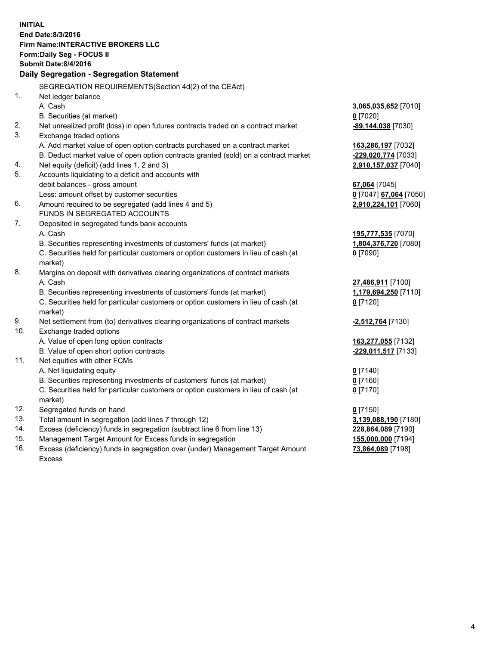**INITIAL End Date:8/3/2016 Firm Name:INTERACTIVE BROKERS LLC Form:Daily Seg - FOCUS II Submit Date:8/4/2016 Daily Segregation - Segregation Statement** SEGREGATION REQUIREMENTS(Section 4d(2) of the CEAct) 1. Net ledger balance A. Cash **3,065,035,652** [7010] B. Securities (at market) **0** [7020] 2. Net unrealized profit (loss) in open futures contracts traded on a contract market **-89,144,038** [7030] 3. Exchange traded options A. Add market value of open option contracts purchased on a contract market **163,286,197** [7032] B. Deduct market value of open option contracts granted (sold) on a contract market **-229,020,774** [7033] 4. Net equity (deficit) (add lines 1, 2 and 3) **2,910,157,037** [7040] 5. Accounts liquidating to a deficit and accounts with debit balances - gross amount **67,064** [7045] Less: amount offset by customer securities **0** [7047] **67,064** [7050] 6. Amount required to be segregated (add lines 4 and 5) **2,910,224,101** [7060] FUNDS IN SEGREGATED ACCOUNTS 7. Deposited in segregated funds bank accounts A. Cash **195,777,535** [7070] B. Securities representing investments of customers' funds (at market) **1,804,376,720** [7080] C. Securities held for particular customers or option customers in lieu of cash (at market) **0** [7090] 8. Margins on deposit with derivatives clearing organizations of contract markets A. Cash **27,486,911** [7100] B. Securities representing investments of customers' funds (at market) **1,179,694,250** [7110] C. Securities held for particular customers or option customers in lieu of cash (at market) **0** [7120] 9. Net settlement from (to) derivatives clearing organizations of contract markets **-2,512,764** [7130] 10. Exchange traded options A. Value of open long option contracts **163,277,055** [7132] B. Value of open short option contracts **-229,011,517** [7133] 11. Net equities with other FCMs A. Net liquidating equity **0** [7140] B. Securities representing investments of customers' funds (at market) **0** [7160] C. Securities held for particular customers or option customers in lieu of cash (at market) **0** [7170] 12. Segregated funds on hand **0** [7150] 13. Total amount in segregation (add lines 7 through 12) **3,139,088,190** [7180] 14. Excess (deficiency) funds in segregation (subtract line 6 from line 13) **228,864,089** [7190] 15. Management Target Amount for Excess funds in segregation **155,000,000** [7194]

16. Excess (deficiency) funds in segregation over (under) Management Target Amount Excess

**73,864,089** [7198]